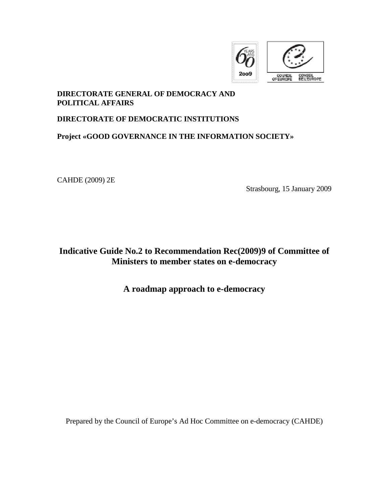

### **DIRECTORATE GENERAL OF DEMOCRACY AND POLITICAL AFFAIRS**

### **DIRECTORATE OF DEMOCRATIC INSTITUTIONS**

### **Project «GOOD GOVERNANCE IN THE INFORMATION SOCIETY»**

CAHDE (2009) 2E

Strasbourg, 15 January 2009

**Indicative Guide No.2 to Recommendation Rec(2009)9 of Committee of Ministers to member states on e-democracy** 

### **A roadmap approach to e-democracy**

Prepared by the Council of Europe's Ad Hoc Committee on e-democracy (CAHDE)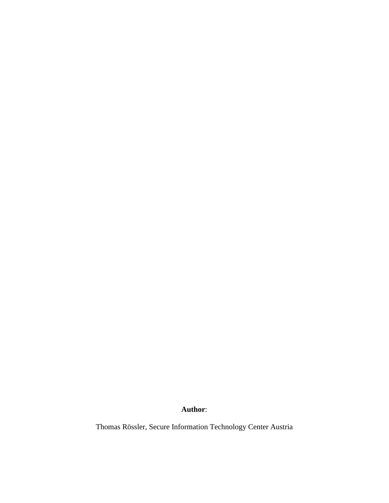**Author**:

Thomas Rössler, Secure Information Technology Center Austria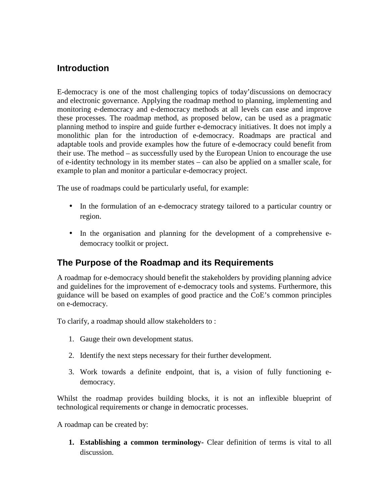# **Introduction**

E-democracy is one of the most challenging topics of today'discussions on democracy and electronic governance. Applying the roadmap method to planning, implementing and monitoring e-democracy and e-democracy methods at all levels can ease and improve these processes. The roadmap method, as proposed below, can be used as a pragmatic planning method to inspire and guide further e-democracy initiatives. It does not imply a monolithic plan for the introduction of e-democracy. Roadmaps are practical and adaptable tools and provide examples how the future of e-democracy could benefit from their use. The method – as successfully used by the European Union to encourage the use of e-identity technology in its member states – can also be applied on a smaller scale, for example to plan and monitor a particular e-democracy project.

The use of roadmaps could be particularly useful, for example:

- In the formulation of an e-democracy strategy tailored to a particular country or region.
- In the organisation and planning for the development of a comprehensive edemocracy toolkit or project.

# **The Purpose of the Roadmap and its Requirements**

A roadmap for e-democracy should benefit the stakeholders by providing planning advice and guidelines for the improvement of e-democracy tools and systems. Furthermore, this guidance will be based on examples of good practice and the CoE's common principles on e-democracy.

To clarify, a roadmap should allow stakeholders to :

- 1. Gauge their own development status.
- 2. Identify the next steps necessary for their further development.
- 3. Work towards a definite endpoint, that is, a vision of fully functioning edemocracy.

Whilst the roadmap provides building blocks, it is not an inflexible blueprint of technological requirements or change in democratic processes.

A roadmap can be created by:

**1. Establishing a common terminology-** Clear definition of terms is vital to all discussion.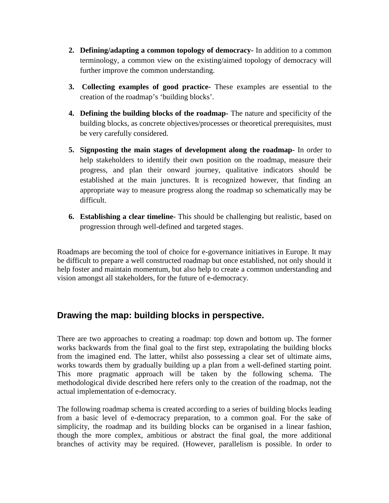- **2. Defining/adapting a common topology of democracy-** In addition to a common terminology, a common view on the existing/aimed topology of democracy will further improve the common understanding.
- **3. Collecting examples of good practice-** These examples are essential to the creation of the roadmap's 'building blocks'.
- **4. Defining the building blocks of the roadmap-** The nature and specificity of the building blocks, as concrete objectives/processes or theoretical prerequisites, must be very carefully considered.
- **5. Signposting the main stages of development along the roadmap-** In order to help stakeholders to identify their own position on the roadmap, measure their progress, and plan their onward journey, qualitative indicators should be established at the main junctures. It is recognized however, that finding an appropriate way to measure progress along the roadmap so schematically may be difficult.
- **6. Establishing a clear timeline-** This should be challenging but realistic, based on progression through well-defined and targeted stages.

Roadmaps are becoming the tool of choice for e-governance initiatives in Europe. It may be difficult to prepare a well constructed roadmap but once established, not only should it help foster and maintain momentum, but also help to create a common understanding and vision amongst all stakeholders, for the future of e-democracy.

# **Drawing the map: building blocks in perspective.**

There are two approaches to creating a roadmap: top down and bottom up. The former works backwards from the final goal to the first step, extrapolating the building blocks from the imagined end. The latter, whilst also possessing a clear set of ultimate aims, works towards them by gradually building up a plan from a well-defined starting point. This more pragmatic approach will be taken by the following schema. The methodological divide described here refers only to the creation of the roadmap, not the actual implementation of e-democracy.

The following roadmap schema is created according to a series of building blocks leading from a basic level of e-democracy preparation, to a common goal. For the sake of simplicity, the roadmap and its building blocks can be organised in a linear fashion, though the more complex, ambitious or abstract the final goal, the more additional branches of activity may be required. (However, parallelism is possible. In order to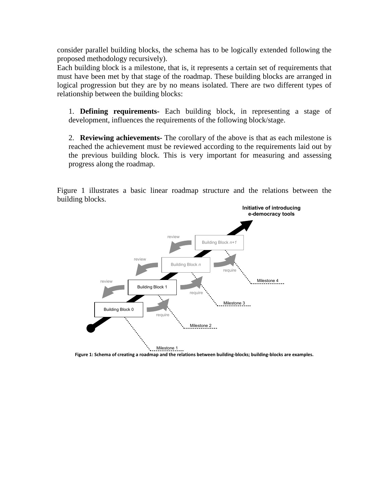consider parallel building blocks, the schema has to be logically extended following the proposed methodology recursively).

Each building block is a milestone, that is, it represents a certain set of requirements that must have been met by that stage of the roadmap. These building blocks are arranged in logical progression but they are by no means isolated. There are two different types of relationship between the building blocks:

1. **Defining requirements-** Each building block, in representing a stage of development, influences the requirements of the following block/stage.

2. **Reviewing achievements-** The corollary of the above is that as each milestone is reached the achievement must be reviewed according to the requirements laid out by the previous building block. This is very important for measuring and assessing progress along the roadmap.

Figure 1 illustrates a basic linear roadmap structure and the relations between the building blocks.



Figure 1: Schema of creating a roadmap and the relations between building-blocks; building-blocks are examples.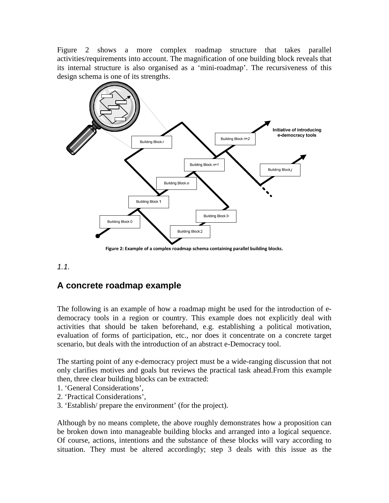Figure 2 shows a more complex roadmap structure that takes parallel activities/requirements into account. The magnification of one building block reveals that its internal structure is also organised as a 'mini-roadmap'. The recursiveness of this design schema is one of its strengths.



Figure 2: Example of a complex roadmap schema containing parallel building blocks.

### 1.1.

# **A concrete roadmap example**

The following is an example of how a roadmap might be used for the introduction of edemocracy tools in a region or country. This example does not explicitly deal with activities that should be taken beforehand, e.g. establishing a political motivation, evaluation of forms of participation, etc., nor does it concentrate on a concrete target scenario, but deals with the introduction of an abstract e-Democracy tool.

The starting point of any e-democracy project must be a wide-ranging discussion that not only clarifies motives and goals but reviews the practical task ahead.From this example then, three clear building blocks can be extracted:

- 1. 'General Considerations',
- 2. 'Practical Considerations',
- 3. 'Establish/ prepare the environment' (for the project).

Although by no means complete, the above roughly demonstrates how a proposition can be broken down into manageable building blocks and arranged into a logical sequence. Of course, actions, intentions and the substance of these blocks will vary according to situation. They must be altered accordingly; step 3 deals with this issue as the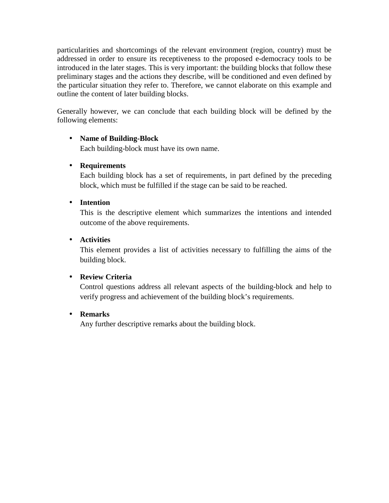particularities and shortcomings of the relevant environment (region, country) must be addressed in order to ensure its receptiveness to the proposed e-democracy tools to be introduced in the later stages. This is very important: the building blocks that follow these preliminary stages and the actions they describe, will be conditioned and even defined by the particular situation they refer to. Therefore, we cannot elaborate on this example and outline the content of later building blocks.

Generally however, we can conclude that each building block will be defined by the following elements:

### • **Name of Building-Block**

Each building-block must have its own name.

### • **Requirements**

Each building block has a set of requirements, in part defined by the preceding block, which must be fulfilled if the stage can be said to be reached.

#### • **Intention**

This is the descriptive element which summarizes the intentions and intended outcome of the above requirements.

### • **Activities**

This element provides a list of activities necessary to fulfilling the aims of the building block.

### • **Review Criteria**

Control questions address all relevant aspects of the building-block and help to verify progress and achievement of the building block's requirements.

### • **Remarks**

Any further descriptive remarks about the building block.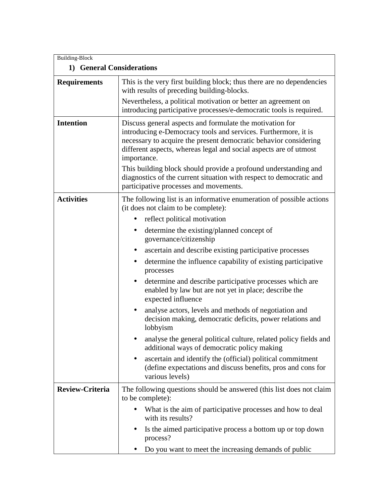| <b>Building-Block</b>     |                                                                                                                                                                                                                                                                                                                                                                                                                                                                        |
|---------------------------|------------------------------------------------------------------------------------------------------------------------------------------------------------------------------------------------------------------------------------------------------------------------------------------------------------------------------------------------------------------------------------------------------------------------------------------------------------------------|
| 1) General Considerations |                                                                                                                                                                                                                                                                                                                                                                                                                                                                        |
| <b>Requirements</b>       | This is the very first building block; thus there are no dependencies<br>with results of preceding building-blocks.<br>Nevertheless, a political motivation or better an agreement on<br>introducing participative processes/e-democratic tools is required.                                                                                                                                                                                                           |
| <b>Intention</b>          | Discuss general aspects and formulate the motivation for<br>introducing e-Democracy tools and services. Furthermore, it is<br>necessary to acquire the present democratic behavior considering<br>different aspects, whereas legal and social aspects are of utmost<br>importance.<br>This building block should provide a profound understanding and<br>diagnostics of the current situation with respect to democratic and<br>participative processes and movements. |
| <b>Activities</b>         | The following list is an informative enumeration of possible actions<br>(it does not claim to be complete):                                                                                                                                                                                                                                                                                                                                                            |
|                           | reflect political motivation                                                                                                                                                                                                                                                                                                                                                                                                                                           |
|                           | determine the existing/planned concept of<br>$\bullet$<br>governance/citizenship                                                                                                                                                                                                                                                                                                                                                                                       |
|                           | ascertain and describe existing participative processes<br>$\bullet$                                                                                                                                                                                                                                                                                                                                                                                                   |
|                           | determine the influence capability of existing participative<br>processes                                                                                                                                                                                                                                                                                                                                                                                              |
|                           | determine and describe participative processes which are<br>$\bullet$<br>enabled by law but are not yet in place; describe the<br>expected influence                                                                                                                                                                                                                                                                                                                   |
|                           | analyse actors, levels and methods of negotiation and<br>decision making, democratic deficits, power relations and<br>lobbyism                                                                                                                                                                                                                                                                                                                                         |
|                           | analyse the general political culture, related policy fields and<br>additional ways of democratic policy making                                                                                                                                                                                                                                                                                                                                                        |
|                           | ascertain and identify the (official) political commitment<br>(define expectations and discuss benefits, pros and cons for<br>various levels)                                                                                                                                                                                                                                                                                                                          |
| <b>Review-Criteria</b>    | The following questions should be answered (this list does not claim<br>to be complete):                                                                                                                                                                                                                                                                                                                                                                               |
|                           | What is the aim of participative processes and how to deal<br>with its results?                                                                                                                                                                                                                                                                                                                                                                                        |
|                           | Is the aimed participative process a bottom up or top down<br>process?                                                                                                                                                                                                                                                                                                                                                                                                 |
|                           | Do you want to meet the increasing demands of public                                                                                                                                                                                                                                                                                                                                                                                                                   |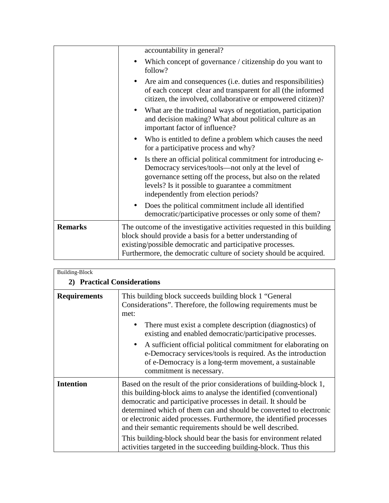|                | accountability in general?                                                                                                                                                                                                                                                                |
|----------------|-------------------------------------------------------------------------------------------------------------------------------------------------------------------------------------------------------------------------------------------------------------------------------------------|
|                | Which concept of governance / citizenship do you want to<br>follow?                                                                                                                                                                                                                       |
|                | Are aim and consequences ( <i>i.e.</i> duties and responsibilities)<br>of each concept clear and transparent for all (the informed<br>citizen, the involved, collaborative or empowered citizen)?                                                                                         |
|                | What are the traditional ways of negotiation, participation<br>and decision making? What about political culture as an<br>important factor of influence?                                                                                                                                  |
|                | Who is entitled to define a problem which causes the need<br>$\bullet$<br>for a participative process and why?                                                                                                                                                                            |
|                | Is there an official political commitment for introducing e-<br>$\bullet$<br>Democracy services/tools—not only at the level of<br>governance setting off the process, but also on the related<br>levels? Is it possible to guarantee a commitment<br>independently from election periods? |
|                | Does the political commitment include all identified<br>democratic/participative processes or only some of them?                                                                                                                                                                          |
| <b>Remarks</b> | The outcome of the investigative activities requested in this building<br>block should provide a basis for a better understanding of<br>existing/possible democratic and participative processes.<br>Furthermore, the democratic culture of society should be acquired.                   |

| <b>Building-Block</b>       |                                                                                                                                                                                                                                                                                                                                                                                                                                                                                                                                                                |
|-----------------------------|----------------------------------------------------------------------------------------------------------------------------------------------------------------------------------------------------------------------------------------------------------------------------------------------------------------------------------------------------------------------------------------------------------------------------------------------------------------------------------------------------------------------------------------------------------------|
| 2) Practical Considerations |                                                                                                                                                                                                                                                                                                                                                                                                                                                                                                                                                                |
| <b>Requirements</b>         | This building block succeeds building block 1 "General<br>Considerations". Therefore, the following requirements must be<br>met:<br>There must exist a complete description (diagnostics) of<br>$\bullet$<br>existing and enabled democratic/participative processes.<br>A sufficient official political commitment for elaborating on<br>$\bullet$<br>e-Democracy services/tools is required. As the introduction<br>of e-Democracy is a long-term movement, a sustainable<br>commitment is necessary.                                                        |
| <b>Intention</b>            | Based on the result of the prior considerations of building-block 1,<br>this building-block aims to analyse the identified (conventional)<br>democratic and participative processes in detail. It should be<br>determined which of them can and should be converted to electronic<br>or electronic aided processes. Furthermore, the identified processes<br>and their semantic requirements should be well described.<br>This building-block should bear the basis for environment related<br>activities targeted in the succeeding building-block. Thus this |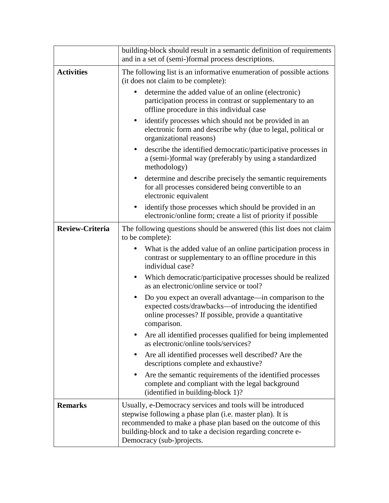|                        | building-block should result in a semantic definition of requirements<br>and in a set of (semi-)formal process descriptions.                                                                                                                                                         |
|------------------------|--------------------------------------------------------------------------------------------------------------------------------------------------------------------------------------------------------------------------------------------------------------------------------------|
| <b>Activities</b>      | The following list is an informative enumeration of possible actions<br>(it does not claim to be complete):                                                                                                                                                                          |
|                        | determine the added value of an online (electronic)<br>participation process in contrast or supplementary to an<br>offline procedure in this individual case                                                                                                                         |
|                        | identify processes which should not be provided in an<br>$\bullet$<br>electronic form and describe why (due to legal, political or<br>organizational reasons)                                                                                                                        |
|                        | describe the identified democratic/participative processes in<br>$\bullet$<br>a (semi-)formal way (preferably by using a standardized<br>methodology)                                                                                                                                |
|                        | determine and describe precisely the semantic requirements<br>$\bullet$<br>for all processes considered being convertible to an<br>electronic equivalent                                                                                                                             |
|                        | identify those processes which should be provided in an<br>electronic/online form; create a list of priority if possible                                                                                                                                                             |
| <b>Review-Criteria</b> | The following questions should be answered (this list does not claim<br>to be complete):                                                                                                                                                                                             |
|                        | What is the added value of an online participation process in<br>contrast or supplementary to an offline procedure in this<br>individual case?                                                                                                                                       |
|                        | Which democratic/participative processes should be realized<br>$\bullet$<br>as an electronic/online service or tool?                                                                                                                                                                 |
|                        | Do you expect an overall advantage—in comparison to the<br>$\bullet$<br>expected costs/drawbacks—of introducing the identified<br>online processes? If possible, provide a quantitative<br>comparison.                                                                               |
|                        | Are all identified processes qualified for being implemented<br>as electronic/online tools/services?                                                                                                                                                                                 |
|                        | Are all identified processes well described? Are the<br>$\bullet$<br>descriptions complete and exhaustive?                                                                                                                                                                           |
|                        | Are the semantic requirements of the identified processes<br>complete and compliant with the legal background<br>(identified in building-block 1)?                                                                                                                                   |
| <b>Remarks</b>         | Usually, e-Democracy services and tools will be introduced<br>stepwise following a phase plan (i.e. master plan). It is<br>recommended to make a phase plan based on the outcome of this<br>building-block and to take a decision regarding concrete e-<br>Democracy (sub-)projects. |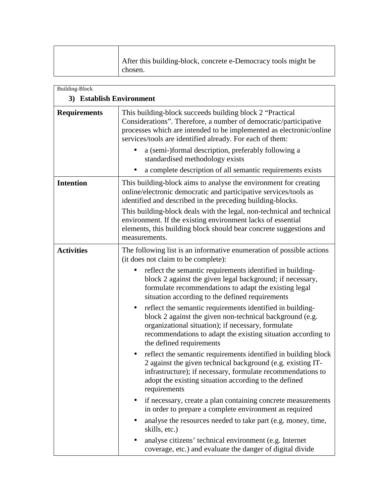| After this building-block, concrete e-Democracy tools might be |
|----------------------------------------------------------------|
| chosen.                                                        |

| <b>Building-Block</b>    |                                                                                                                                                                                                                                                                                      |
|--------------------------|--------------------------------------------------------------------------------------------------------------------------------------------------------------------------------------------------------------------------------------------------------------------------------------|
| 3) Establish Environment |                                                                                                                                                                                                                                                                                      |
| <b>Requirements</b>      | This building-block succeeds building block 2 "Practical<br>Considerations". Therefore, a number of democratic/participative<br>processes which are intended to be implemented as electronic/online<br>services/tools are identified already. For each of them:                      |
|                          | a (semi-)formal description, preferably following a<br>standardised methodology exists                                                                                                                                                                                               |
|                          | a complete description of all semantic requirements exists                                                                                                                                                                                                                           |
| <b>Intention</b>         | This building-block aims to analyse the environment for creating<br>online/electronic democratic and participative services/tools as<br>identified and described in the preceding building-blocks.                                                                                   |
|                          | This building-block deals with the legal, non-technical and technical<br>environment. If the existing environment lacks of essential<br>elements, this building block should bear concrete suggestions and<br>measurements.                                                          |
| <b>Activities</b>        | The following list is an informative enumeration of possible actions<br>(it does not claim to be complete):                                                                                                                                                                          |
|                          | reflect the semantic requirements identified in building-<br>block 2 against the given legal background; if necessary,<br>formulate recommendations to adapt the existing legal<br>situation according to the defined requirements                                                   |
|                          | reflect the semantic requirements identified in building-<br>$\bullet$<br>block 2 against the given non-technical background (e.g.<br>organizational situation); if necessary, formulate<br>recommendations to adapt the existing situation according to<br>the defined requirements |
|                          | reflect the semantic requirements identified in building block<br>2 against the given technical background (e.g. existing IT-<br>infrastructure); if necessary, formulate recommendations to<br>adopt the existing situation according to the defined<br>requirements                |
|                          | if necessary, create a plan containing concrete measurements<br>$\bullet$<br>in order to prepare a complete environment as required                                                                                                                                                  |
|                          | analyse the resources needed to take part (e.g. money, time,<br>skills, etc.)                                                                                                                                                                                                        |
|                          | analyse citizens' technical environment (e.g. Internet<br>coverage, etc.) and evaluate the danger of digital divide                                                                                                                                                                  |